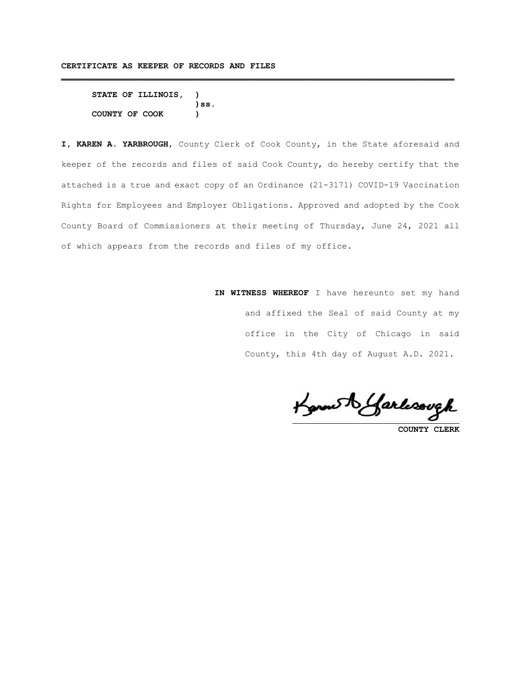```
STATE OF ILLINOIS, )
                  )ss.
COUNTY OF COOK )
```
**I, KAREN A. YARBROUGH**, County Clerk of Cook County, in the State aforesaid and keeper of the records and files of said Cook County, do hereby certify that the attached is a true and exact copy of an Ordinance (21-3171) COVID-19 Vaccination Rights for Employees and Employer Obligations. Approved and adopted by the Cook County Board of Commissioners at their meeting of Thursday, June 24, 2021 all of which appears from the records and files of my office.

**\_\_\_\_\_\_\_\_\_\_\_\_\_\_\_\_\_\_\_\_\_\_\_\_\_\_\_\_\_\_\_\_\_\_\_\_\_\_\_\_\_\_\_\_\_\_\_\_\_\_\_\_\_\_\_\_\_\_\_\_\_\_\_\_\_\_\_\_\_\_\_\_\_\_\_\_\_**

**IN WITNESS WHEREOF** I have hereunto set my hand and affixed the Seal of said County at my office in the City of Chicago in said County, this 4th day of August A.D. 2021.

Konneth Garlesough

**COUNTY CLERK**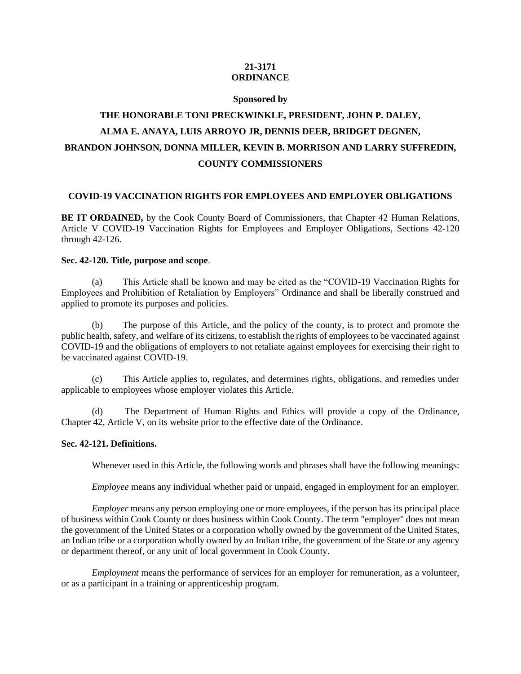# **21-3171 ORDINANCE**

#### **Sponsored by**

# **THE HONORABLE TONI PRECKWINKLE, PRESIDENT, JOHN P. DALEY, ALMA E. ANAYA, LUIS ARROYO JR, DENNIS DEER, BRIDGET DEGNEN, BRANDON JOHNSON, DONNA MILLER, KEVIN B. MORRISON AND LARRY SUFFREDIN, COUNTY COMMISSIONERS**

## **COVID-19 VACCINATION RIGHTS FOR EMPLOYEES AND EMPLOYER OBLIGATIONS**

**BE IT ORDAINED,** by the Cook County Board of Commissioners, that Chapter 42 Human Relations, Article V COVID-19 Vaccination Rights for Employees and Employer Obligations, Sections 42-120 through 42-126.

# **Sec. 42-120. Title, purpose and scope**.

(a) This Article shall be known and may be cited as the "COVID-19 Vaccination Rights for Employees and Prohibition of Retaliation by Employers" Ordinance and shall be liberally construed and applied to promote its purposes and policies.

(b) The purpose of this Article, and the policy of the county, is to protect and promote the public health, safety, and welfare of its citizens, to establish the rights of employees to be vaccinated against COVID-19 and the obligations of employers to not retaliate against employees for exercising their right to be vaccinated against COVID-19.

(c) This Article applies to, regulates, and determines rights, obligations, and remedies under applicable to employees whose employer violates this Article.

(d) The Department of Human Rights and Ethics will provide a copy of the Ordinance, Chapter 42, Article V, on its website prior to the effective date of the Ordinance.

#### **Sec. 42-121. Definitions.**

Whenever used in this Article, the following words and phrases shall have the following meanings:

*Employee* means any individual whether paid or unpaid, engaged in employment for an employer.

*Employer* means any person employing one or more employees, if the person has its principal place of business within Cook County or does business within Cook County. The term "employer" does not mean the government of the United States or a corporation wholly owned by the government of the United States, an Indian tribe or a corporation wholly owned by an Indian tribe, the government of the State or any agency or department thereof, or any unit of local government in Cook County.

*Employment* means the performance of services for an employer for remuneration, as a volunteer, or as a participant in a training or apprenticeship program.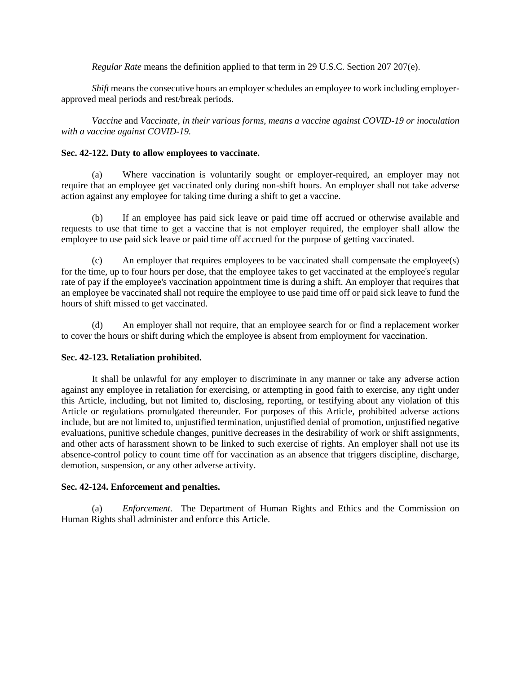*Regular Rate* means the definition applied to that term in 29 U.S.C. Section 207 207(e).

*Shift* means the consecutive hours an employer schedules an employee to work including employerapproved meal periods and rest/break periods.

*Vaccine* and *Vaccinate, in their various forms, means a vaccine against COVID-19 or inoculation with a vaccine against COVID-19.*

#### **Sec. 42-122. Duty to allow employees to vaccinate.**

(a) Where vaccination is voluntarily sought or employer-required, an employer may not require that an employee get vaccinated only during non-shift hours. An employer shall not take adverse action against any employee for taking time during a shift to get a vaccine.

(b) If an employee has paid sick leave or paid time off accrued or otherwise available and requests to use that time to get a vaccine that is not employer required, the employer shall allow the employee to use paid sick leave or paid time off accrued for the purpose of getting vaccinated.

(c) An employer that requires employees to be vaccinated shall compensate the employee(s) for the time, up to four hours per dose, that the employee takes to get vaccinated at the employee's regular rate of pay if the employee's vaccination appointment time is during a shift. An employer that requires that an employee be vaccinated shall not require the employee to use paid time off or paid sick leave to fund the hours of shift missed to get vaccinated.

(d) An employer shall not require, that an employee search for or find a replacement worker to cover the hours or shift during which the employee is absent from employment for vaccination.

## **Sec. 42-123. Retaliation prohibited.**

It shall be unlawful for any employer to discriminate in any manner or take any adverse action against any employee in retaliation for exercising, or attempting in good faith to exercise, any right under this Article, including, but not limited to, disclosing, reporting, or testifying about any violation of this Article or regulations promulgated thereunder. For purposes of this Article, prohibited adverse actions include, but are not limited to, unjustified termination, unjustified denial of promotion, unjustified negative evaluations, punitive schedule changes, punitive decreases in the desirability of work or shift assignments, and other acts of harassment shown to be linked to such exercise of rights. An employer shall not use its absence-control policy to count time off for vaccination as an absence that triggers discipline, discharge, demotion, suspension, or any other adverse activity.

## **Sec. 42-124. Enforcement and penalties.**

(a) *Enforcement.* The Department of Human Rights and Ethics and the Commission on Human Rights shall administer and enforce this Article.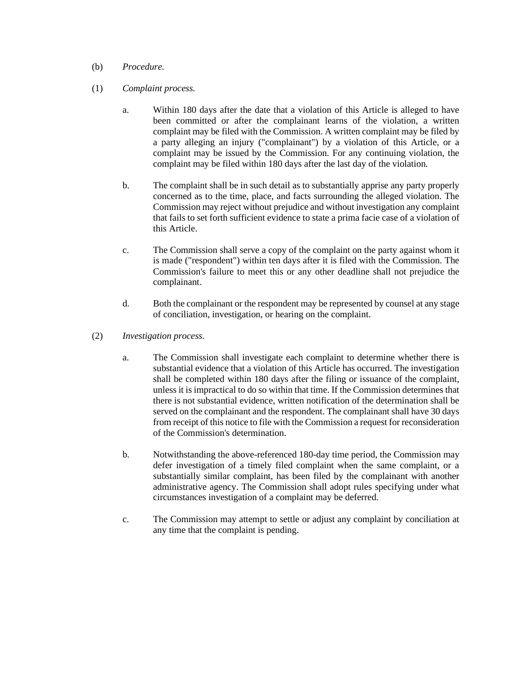# (b) *Procedure.*

# (1) *Complaint process.*

- a. Within 180 days after the date that a violation of this Article is alleged to have been committed or after the complainant learns of the violation, a written complaint may be filed with the Commission. A written complaint may be filed by a party alleging an injury ("complainant") by a violation of this Article, or a complaint may be issued by the Commission. For any continuing violation, the complaint may be filed within 180 days after the last day of the violation.
- b. The complaint shall be in such detail as to substantially apprise any party properly concerned as to the time, place, and facts surrounding the alleged violation. The Commission may reject without prejudice and without investigation any complaint that fails to set forth sufficient evidence to state a prima facie case of a violation of this Article.
- c. The Commission shall serve a copy of the complaint on the party against whom it is made ("respondent") within ten days after it is filed with the Commission. The Commission's failure to meet this or any other deadline shall not prejudice the complainant.
- d. Both the complainant or the respondent may be represented by counsel at any stage of conciliation, investigation, or hearing on the complaint.
- (2) *Investigation process.*
	- a. The Commission shall investigate each complaint to determine whether there is substantial evidence that a violation of this Article has occurred. The investigation shall be completed within 180 days after the filing or issuance of the complaint, unless it is impractical to do so within that time. If the Commission determines that there is not substantial evidence, written notification of the determination shall be served on the complainant and the respondent. The complainant shall have 30 days from receipt of this notice to file with the Commission a request for reconsideration of the Commission's determination.
	- b. Notwithstanding the above-referenced 180-day time period, the Commission may defer investigation of a timely filed complaint when the same complaint, or a substantially similar complaint, has been filed by the complainant with another administrative agency. The Commission shall adopt rules specifying under what circumstances investigation of a complaint may be deferred.
	- c. The Commission may attempt to settle or adjust any complaint by conciliation at any time that the complaint is pending.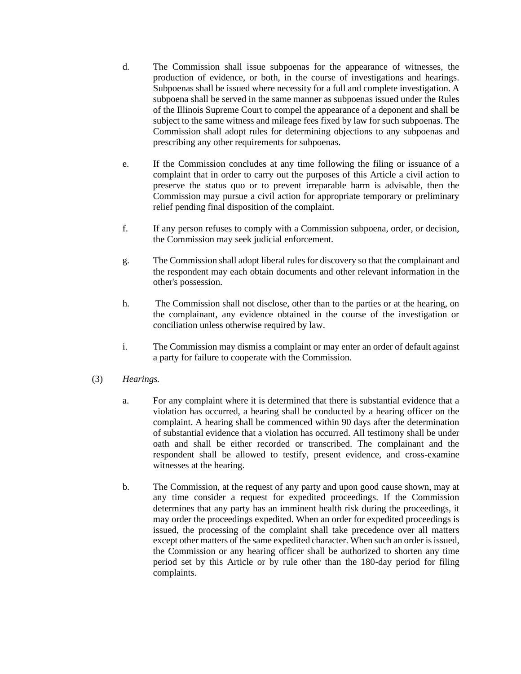- d. The Commission shall issue subpoenas for the appearance of witnesses, the production of evidence, or both, in the course of investigations and hearings. Subpoenas shall be issued where necessity for a full and complete investigation. A subpoena shall be served in the same manner as subpoenas issued under the Rules of the Illinois Supreme Court to compel the appearance of a deponent and shall be subject to the same witness and mileage fees fixed by law for such subpoenas. The Commission shall adopt rules for determining objections to any subpoenas and prescribing any other requirements for subpoenas.
- e. If the Commission concludes at any time following the filing or issuance of a complaint that in order to carry out the purposes of this Article a civil action to preserve the status quo or to prevent irreparable harm is advisable, then the Commission may pursue a civil action for appropriate temporary or preliminary relief pending final disposition of the complaint.
- f. If any person refuses to comply with a Commission subpoena, order, or decision, the Commission may seek judicial enforcement.
- g. The Commission shall adopt liberal rules for discovery so that the complainant and the respondent may each obtain documents and other relevant information in the other's possession.
- h. The Commission shall not disclose, other than to the parties or at the hearing, on the complainant, any evidence obtained in the course of the investigation or conciliation unless otherwise required by law.
- i. The Commission may dismiss a complaint or may enter an order of default against a party for failure to cooperate with the Commission.
- (3) *Hearings.*
	- a. For any complaint where it is determined that there is substantial evidence that a violation has occurred, a hearing shall be conducted by a hearing officer on the complaint. A hearing shall be commenced within 90 days after the determination of substantial evidence that a violation has occurred. All testimony shall be under oath and shall be either recorded or transcribed. The complainant and the respondent shall be allowed to testify, present evidence, and cross-examine witnesses at the hearing.
	- b. The Commission, at the request of any party and upon good cause shown, may at any time consider a request for expedited proceedings. If the Commission determines that any party has an imminent health risk during the proceedings, it may order the proceedings expedited. When an order for expedited proceedings is issued, the processing of the complaint shall take precedence over all matters except other matters of the same expedited character. When such an order is issued, the Commission or any hearing officer shall be authorized to shorten any time period set by this Article or by rule other than the 180-day period for filing complaints.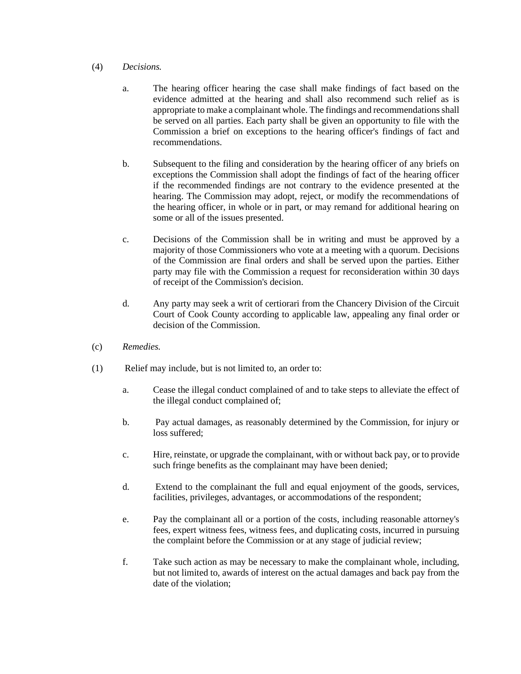# (4) *Decisions.*

- a. The hearing officer hearing the case shall make findings of fact based on the evidence admitted at the hearing and shall also recommend such relief as is appropriate to make a complainant whole. The findings and recommendations shall be served on all parties. Each party shall be given an opportunity to file with the Commission a brief on exceptions to the hearing officer's findings of fact and recommendations.
- b. Subsequent to the filing and consideration by the hearing officer of any briefs on exceptions the Commission shall adopt the findings of fact of the hearing officer if the recommended findings are not contrary to the evidence presented at the hearing. The Commission may adopt, reject, or modify the recommendations of the hearing officer, in whole or in part, or may remand for additional hearing on some or all of the issues presented.
- c. Decisions of the Commission shall be in writing and must be approved by a majority of those Commissioners who vote at a meeting with a quorum. Decisions of the Commission are final orders and shall be served upon the parties. Either party may file with the Commission a request for reconsideration within 30 days of receipt of the Commission's decision.
- d. Any party may seek a writ of certiorari from the Chancery Division of the Circuit Court of Cook County according to applicable law, appealing any final order or decision of the Commission.
- (c) *Remedies.*
- (1) Relief may include, but is not limited to, an order to:
	- a. Cease the illegal conduct complained of and to take steps to alleviate the effect of the illegal conduct complained of;
	- b. Pay actual damages, as reasonably determined by the Commission, for injury or loss suffered;
	- c. Hire, reinstate, or upgrade the complainant, with or without back pay, or to provide such fringe benefits as the complainant may have been denied;
	- d. Extend to the complainant the full and equal enjoyment of the goods, services, facilities, privileges, advantages, or accommodations of the respondent;
	- e. Pay the complainant all or a portion of the costs, including reasonable attorney's fees, expert witness fees, witness fees, and duplicating costs, incurred in pursuing the complaint before the Commission or at any stage of judicial review;
	- f. Take such action as may be necessary to make the complainant whole, including, but not limited to, awards of interest on the actual damages and back pay from the date of the violation;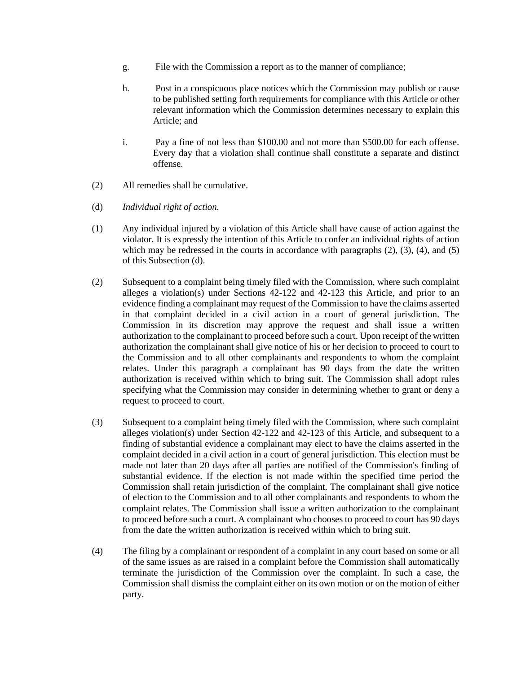- g. File with the Commission a report as to the manner of compliance;
- h. Post in a conspicuous place notices which the Commission may publish or cause to be published setting forth requirements for compliance with this Article or other relevant information which the Commission determines necessary to explain this Article; and
- i. Pay a fine of not less than \$100.00 and not more than \$500.00 for each offense. Every day that a violation shall continue shall constitute a separate and distinct offense.
- (2) All remedies shall be cumulative.
- (d) *Individual right of action.*
- (1) Any individual injured by a violation of this Article shall have cause of action against the violator. It is expressly the intention of this Article to confer an individual rights of action which may be redressed in the courts in accordance with paragraphs  $(2)$ ,  $(3)$ ,  $(4)$ , and  $(5)$ of this Subsection (d).
- (2) Subsequent to a complaint being timely filed with the Commission, where such complaint alleges a violation(s) under Sections 42-122 and 42-123 this Article, and prior to an evidence finding a complainant may request of the Commission to have the claims asserted in that complaint decided in a civil action in a court of general jurisdiction. The Commission in its discretion may approve the request and shall issue a written authorization to the complainant to proceed before such a court. Upon receipt of the written authorization the complainant shall give notice of his or her decision to proceed to court to the Commission and to all other complainants and respondents to whom the complaint relates. Under this paragraph a complainant has 90 days from the date the written authorization is received within which to bring suit. The Commission shall adopt rules specifying what the Commission may consider in determining whether to grant or deny a request to proceed to court.
- (3) Subsequent to a complaint being timely filed with the Commission, where such complaint alleges violation(s) under Section 42-122 and 42-123 of this Article, and subsequent to a finding of substantial evidence a complainant may elect to have the claims asserted in the complaint decided in a civil action in a court of general jurisdiction. This election must be made not later than 20 days after all parties are notified of the Commission's finding of substantial evidence. If the election is not made within the specified time period the Commission shall retain jurisdiction of the complaint. The complainant shall give notice of election to the Commission and to all other complainants and respondents to whom the complaint relates. The Commission shall issue a written authorization to the complainant to proceed before such a court. A complainant who chooses to proceed to court has 90 days from the date the written authorization is received within which to bring suit.
- (4) The filing by a complainant or respondent of a complaint in any court based on some or all of the same issues as are raised in a complaint before the Commission shall automatically terminate the jurisdiction of the Commission over the complaint. In such a case, the Commission shall dismiss the complaint either on its own motion or on the motion of either party.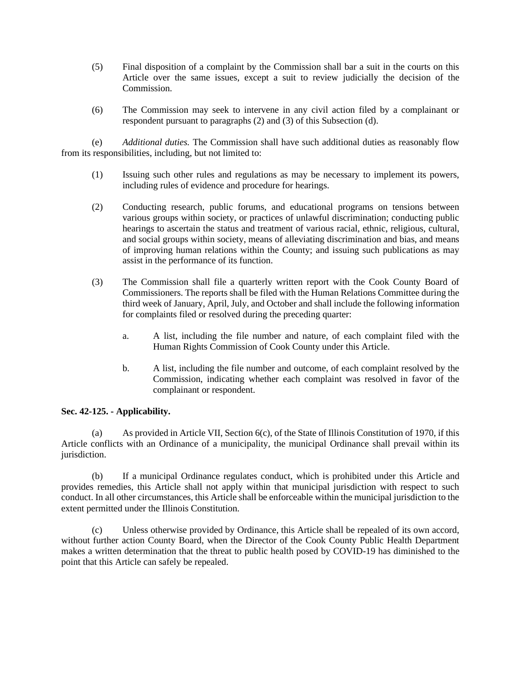- (5) Final disposition of a complaint by the Commission shall bar a suit in the courts on this Article over the same issues, except a suit to review judicially the decision of the Commission.
- (6) The Commission may seek to intervene in any civil action filed by a complainant or respondent pursuant to paragraphs (2) and (3) of this Subsection (d).

(e) *Additional duties.* The Commission shall have such additional duties as reasonably flow from its responsibilities, including, but not limited to:

- (1) Issuing such other rules and regulations as may be necessary to implement its powers, including rules of evidence and procedure for hearings.
- (2) Conducting research, public forums, and educational programs on tensions between various groups within society, or practices of unlawful discrimination; conducting public hearings to ascertain the status and treatment of various racial, ethnic, religious, cultural, and social groups within society, means of alleviating discrimination and bias, and means of improving human relations within the County; and issuing such publications as may assist in the performance of its function.
- (3) The Commission shall file a quarterly written report with the Cook County Board of Commissioners. The reports shall be filed with the Human Relations Committee during the third week of January, April, July, and October and shall include the following information for complaints filed or resolved during the preceding quarter:
	- a. A list, including the file number and nature, of each complaint filed with the Human Rights Commission of Cook County under this Article.
	- b. A list, including the file number and outcome, of each complaint resolved by the Commission, indicating whether each complaint was resolved in favor of the complainant or respondent.

## **Sec. 42-125. - Applicability.**

(a) As provided in Article VII, Section 6(c), of the State of Illinois Constitution of 1970, if this Article conflicts with an Ordinance of a municipality, the municipal Ordinance shall prevail within its jurisdiction.

(b) If a municipal Ordinance regulates conduct, which is prohibited under this Article and provides remedies, this Article shall not apply within that municipal jurisdiction with respect to such conduct. In all other circumstances, this Article shall be enforceable within the municipal jurisdiction to the extent permitted under the Illinois Constitution.

(c) Unless otherwise provided by Ordinance, this Article shall be repealed of its own accord, without further action County Board, when the Director of the Cook County Public Health Department makes a written determination that the threat to public health posed by COVID-19 has diminished to the point that this Article can safely be repealed.